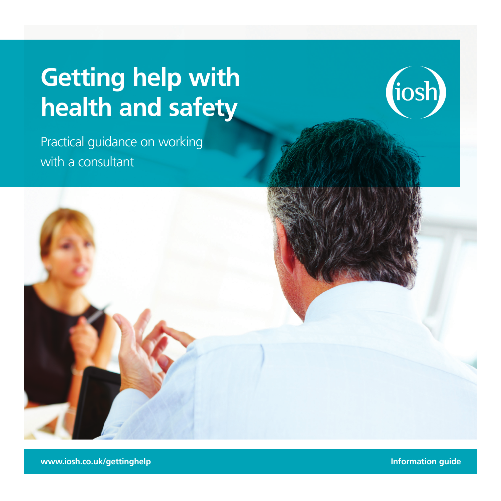# **Getting help with health and safety**



Practical guidance on working with a consultant



**www.iosh.co.uk/gettinghelp Information guide**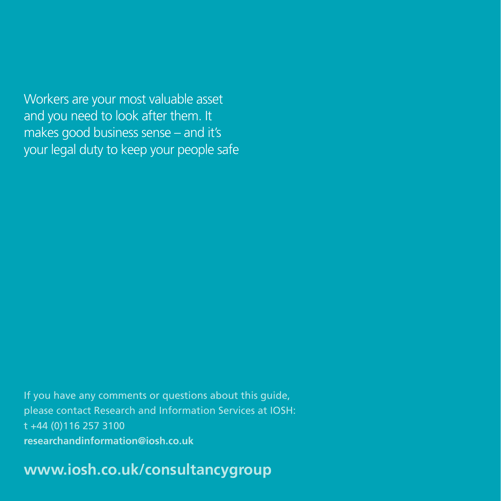Workers are your most valuable asset and you need to look after them. It makes good business sense – and it's your legal duty to keep your people safe

If you have any comments or questions about this guide, please contact Research and Information Services at IOSH: t +44 (0)116 257 3100 **[researchandinformation@iosh.co.uk](mailto:researchandinformation%40iosh.co.uk?subject=Getting%20help%20with%20health%20and%20safety)**

**[www.iosh.co.uk/consultancygroup](http://www.iosh.co.uk/consultancygroup)**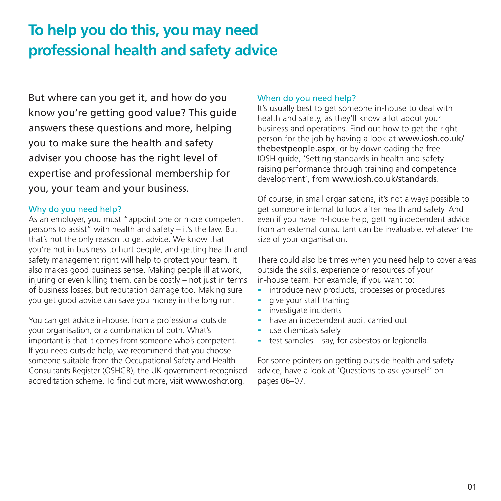# **To help you do this, you may need professional health and safety advice**

But where can you get it, and how do you know you're getting good value? This guide answers these questions and more, helping you to make sure the health and safety adviser you choose has the right level of expertise and professional membership for you, your team and your business.

### Why do you need help?

As an employer, you must "appoint one or more competent persons to assist" with health and safety – it's the law. But that's not the only reason to get advice. We know that you're not in business to hurt people, and getting health and safety management right will help to protect your team. It also makes good business sense. Making people ill at work, injuring or even killing them, can be costly – not just in terms of business losses, but reputation damage too. Making sure you get good advice can save you money in the long run.

You can get advice in-house, from a professional outside your organisation, or a combination of both. What's important is that it comes from someone who's competent. If you need outside help, we recommend that you choose someone suitable from the Occupational Safety and Health Consultants Register (OSHCR), the UK government-recognised accreditation scheme. To find out more, visit [www.oshcr.org](http://www.oshcr.org).

# When do you need help?

It's usually best to get someone in-house to deal with health and safety, as they'll know a lot about your business and operations. Find out how to get the right person for the job by having a look at [www.iosh.co.uk/](http://www.iosh.co.uk/thebestpeople.aspx) [thebestpeople.aspx](http://www.iosh.co.uk/thebestpeople.aspx), or by downloading the free IOSH guide, 'Setting standards in health and safety – raising performance through training and competence development', from [www.iosh.co.uk/standards](http://www.iosh.co.uk/standards).

Of course, in small organisations, it's not always possible to get someone internal to look after health and safety. And even if you have in-house help, getting independent advice from an external consultant can be invaluable, whatever the size of your organisation.

There could also be times when you need help to cover areas outside the skills, experience or resources of your in-house team. For example, if you want to:

- introduce new products, processes or procedures
- give your staff training
- investigate incidents
- have an independent audit carried out
- use chemicals safely
- $\blacksquare$  test samples say, for asbestos or legionella.

For some pointers on getting outside health and safety advice, have a look at 'Questions to ask yourself' on pages 06–07.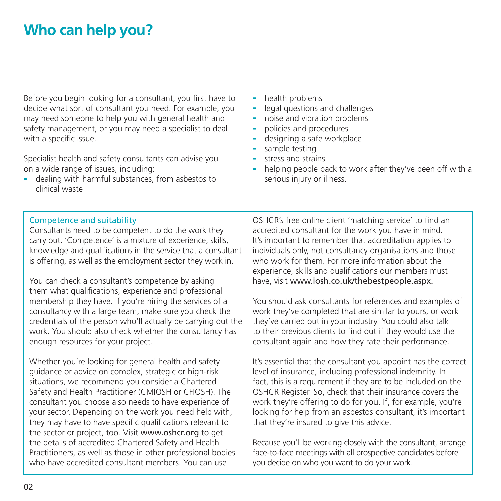# **Who can help you?**

Before you begin looking for a consultant, you first have to decide what sort of consultant you need. For example, you may need someone to help you with general health and safety management, or you may need a specialist to deal with a specific issue.

Specialist health and safety consultants can advise you on a wide range of issues, including:

dealing with harmful substances, from asbestos to clinical waste

- health problems
- legal questions and challenges
- noise and vibration problems
- policies and procedures
- designing a safe workplace
- sample testing
- stress and strains
- helping people back to work after they've been off with a serious injury or illness.

#### Competence and suitability

Consultants need to be competent to do the work they carry out. 'Competence' is a mixture of experience, skills, knowledge and qualifications in the service that a consultant is offering, as well as the employment sector they work in.

You can check a consultant's competence by asking them what qualifications, experience and professional membership they have. If you're hiring the services of a consultancy with a large team, make sure you check the credentials of the person who'll actually be carrying out the work. You should also check whether the consultancy has enough resources for your project.

Whether you're looking for general health and safety guidance or advice on complex, strategic or high-risk situations, we recommend you consider a Chartered Safety and Health Practitioner (CMIOSH or CFIOSH). The consultant you choose also needs to have experience of your sector. Depending on the work you need help with, they may have to have specific qualifications relevant to the sector or project, too. Visit www.oshcr.org to get the details of accredited Chartered Safety and Health Practitioners, as well as those in other professional bodies who have accredited consultant members. You can use

OSHCR's free online client 'matching service' to find an accredited consultant for the work you have in mind. It's important to remember that accreditation applies to individuals only, not consultancy organisations and those who work for them. For more information about the experience, skills and qualifications our members must have, visit [www.iosh.co.uk/thebestpeople.aspx](http://www.iosh.co.uk/thebestpeople.aspx).

You should ask consultants for references and examples of work they've completed that are similar to yours, or work they've carried out in your industry. You could also talk to their previous clients to find out if they would use the consultant again and how they rate their performance.

It's essential that the consultant you appoint has the correct level of insurance, including professional indemnity. In fact, this is a requirement if they are to be included on the OSHCR Register. So, check that their insurance covers the work they're offering to do for you. If, for example, you're looking for help from an asbestos consultant, it's important that they're insured to give this advice.

Because you'll be working closely with the consultant, arrange face-to-face meetings with all prospective candidates before you decide on who you want to do your work.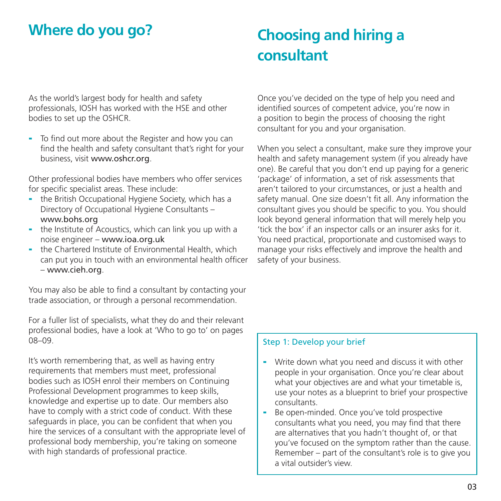# **Where do you go?**

# **Choosing and hiring a consultant**

As the world's largest body for health and safety professionals, IOSH has worked with the HSE and other bodies to set up the OSHCR.

- To find out more about the Register and how you can find the health and safety consultant that's right for your business, visit [www.oshcr.org](http://www.oshcr.org).

Other professional bodies have members who offer services for specific specialist areas. These include:

- the British Occupational Hygiene Society, which has a Directory of Occupational Hygiene Consultants – www.bohs.org
- the Institute of Acoustics, which can link you up with a noise engineer – www.ioa.org.uk
- the Chartered Institute of Environmental Health, which can put you in touch with an environmental health officer – www.cieh.org.

You may also be able to find a consultant by contacting your trade association, or through a personal recommendation.

For a fuller list of specialists, what they do and their relevant professional bodies, have a look at 'Who to go to' on pages 08–09.

It's worth remembering that, as well as having entry requirements that members must meet, professional bodies such as IOSH enrol their members on Continuing Professional Development programmes to keep skills, knowledge and expertise up to date. Our members also have to comply with a strict code of conduct. With these safeguards in place, you can be confident that when you hire the services of a consultant with the appropriate level of professional body membership, you're taking on someone with high standards of professional practice.

Once you've decided on the type of help you need and identified sources of competent advice, you're now in a position to begin the process of choosing the right consultant for you and your organisation.

When you select a consultant, make sure they improve your health and safety management system (if you already have one). Be careful that you don't end up paying for a generic 'package' of information, a set of risk assessments that aren't tailored to your circumstances, or just a health and safety manual. One size doesn't fit all. Any information the consultant gives you should be specific to you. You should look beyond general information that will merely help you 'tick the box' if an inspector calls or an insurer asks for it. You need practical, proportionate and customised ways to manage your risks effectively and improve the health and safety of your business.

# Step 1: Develop your brief

- Write down what you need and discuss it with other people in your organisation. Once you're clear about what your objectives are and what your timetable is, use your notes as a blueprint to brief your prospective consultants.
- Be open-minded. Once you've told prospective consultants what you need, you may find that there are alternatives that you hadn't thought of, or that you've focused on the symptom rather than the cause. Remember – part of the consultant's role is to give you a vital outsider's view.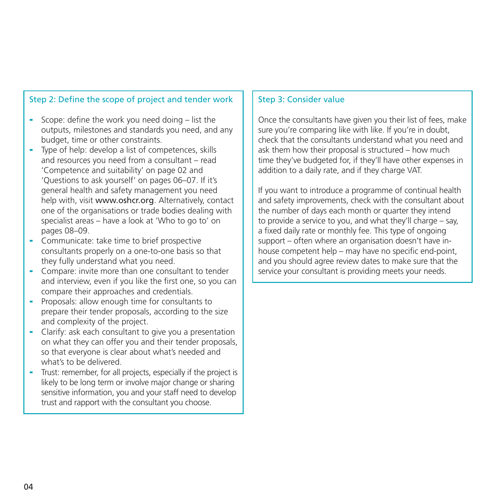# Step 2: Define the scope of project and tender work

- Scope: define the work you need doing list the outputs, milestones and standards you need, and any budget, time or other constraints.
- Type of help: develop a list of competences, skills and resources you need from a consultant – read 'Competence and suitability' on page 02 and 'Questions to ask yourself' on pages 06–07. If it's general health and safety management you need help with, visit www.oshcr.org. Alternatively, contact one of the organisations or trade bodies dealing with specialist areas – have a look at 'Who to go to' on pages 08–09.
- Communicate: take time to brief prospective consultants properly on a one-to-one basis so that they fully understand what you need.
- Compare: invite more than one consultant to tender and interview, even if you like the first one, so you can compare their approaches and credentials.
- Proposals: allow enough time for consultants to prepare their tender proposals, according to the size and complexity of the project.
- Clarify: ask each consultant to give you a presentation on what they can offer you and their tender proposals, so that everyone is clear about what's needed and what's to be delivered.
- Trust: remember, for all projects, especially if the project is likely to be long term or involve major change or sharing sensitive information, you and your staff need to develop trust and rapport with the consultant you choose.

#### Step 3: Consider value

Once the consultants have given you their list of fees, make sure you're comparing like with like. If you're in doubt, check that the consultants understand what you need and ask them how their proposal is structured – how much time they've budgeted for, if they'll have other expenses in addition to a daily rate, and if they charge VAT.

If you want to introduce a programme of continual health and safety improvements, check with the consultant about the number of days each month or quarter they intend to provide a service to you, and what they'll charge – say, a fixed daily rate or monthly fee. This type of ongoing support – often where an organisation doesn't have inhouse competent help – may have no specific end-point, and you should agree review dates to make sure that the service your consultant is providing meets your needs.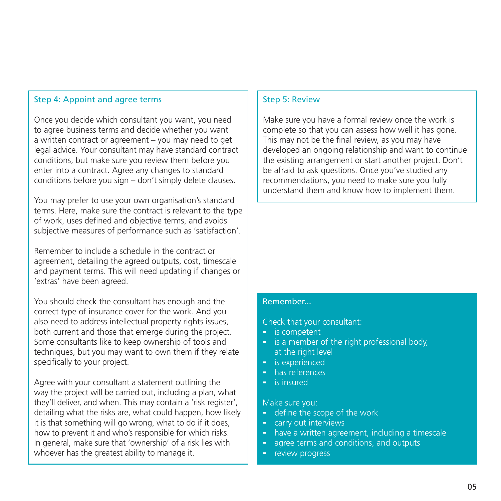# Step 4: Appoint and agree terms

Once you decide which consultant you want, you need to agree business terms and decide whether you want a written contract or agreement – you may need to get legal advice. Your consultant may have standard contract conditions, but make sure you review them before you enter into a contract. Agree any changes to standard conditions before you sign – don't simply delete clauses.

You may prefer to use your own organisation's standard terms. Here, make sure the contract is relevant to the type of work, uses defined and objective terms, and avoids subjective measures of performance such as 'satisfaction'.

Remember to include a schedule in the contract or agreement, detailing the agreed outputs, cost, timescale and payment terms. This will need updating if changes or 'extras' have been agreed.

You should check the consultant has enough and the correct type of insurance cover for the work. And you also need to address intellectual property rights issues, both current and those that emerge during the project. Some consultants like to keep ownership of tools and techniques, but you may want to own them if they relate specifically to your project.

Agree with your consultant a statement outlining the way the project will be carried out, including a plan, what they'll deliver, and when. This may contain a 'risk register', detailing what the risks are, what could happen, how likely it is that something will go wrong, what to do if it does, how to prevent it and who's responsible for which risks. In general, make sure that 'ownership' of a risk lies with whoever has the greatest ability to manage it.

### Step 5: Review

Make sure you have a formal review once the work is complete so that you can assess how well it has gone. This may not be the final review, as you may have developed an ongoing relationship and want to continue the existing arrangement or start another project. Don't be afraid to ask questions. Once you've studied any recommendations, you need to make sure you fully understand them and know how to implement them.

# Remember...

Check that your consultant:

- is competent
- is a member of the right professional body, at the right level
- is experienced
- has references
- is insured

Make sure you:

- define the scope of the work
- carry out interviews
- have a written agreement, including a timescale
- agree terms and conditions, and outputs
- review progress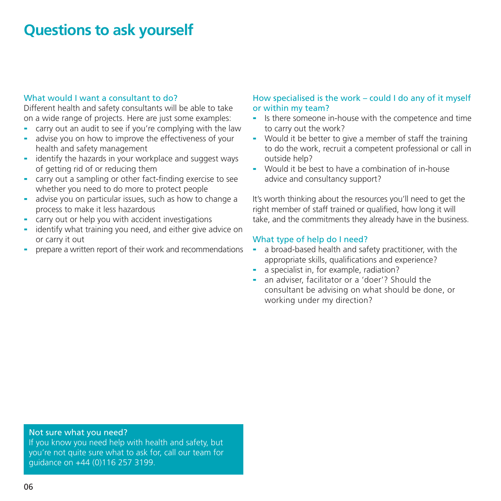# **Questions to ask yourself**

#### What would I want a consultant to do?

Different health and safety consultants will be able to take on a wide range of projects. Here are just some examples:

- carry out an audit to see if you're complying with the law
- advise you on how to improve the effectiveness of your health and safety management
- identify the hazards in your workplace and suggest ways of getting rid of or reducing them
- carry out a sampling or other fact-finding exercise to see whether you need to do more to protect people
- advise you on particular issues, such as how to change a process to make it less hazardous
- carry out or help you with accident investigations
- identify what training you need, and either give advice on or carry it out
- prepare a written report of their work and recommendations

# How specialised is the work – could I do any of it myself or within my team?

- Is there someone in-house with the competence and time to carry out the work?
- Would it be better to give a member of staff the training to do the work, recruit a competent professional or call in outside help?
- Would it be best to have a combination of in-house advice and consultancy support?

It's worth thinking about the resources you'll need to get the right member of staff trained or qualified, how long it will take, and the commitments they already have in the business.

#### What type of help do I need?

- a broad-based health and safety practitioner, with the appropriate skills, qualifications and experience?
- a specialist in, for example, radiation?
- an adviser, facilitator or a 'doer'? Should the consultant be advising on what should be done, or working under my direction?

#### Not sure what you need?

If you know you need help with health and safety, but you're not quite sure what to ask for, call our team for guidance on +44 (0)116 257 3199.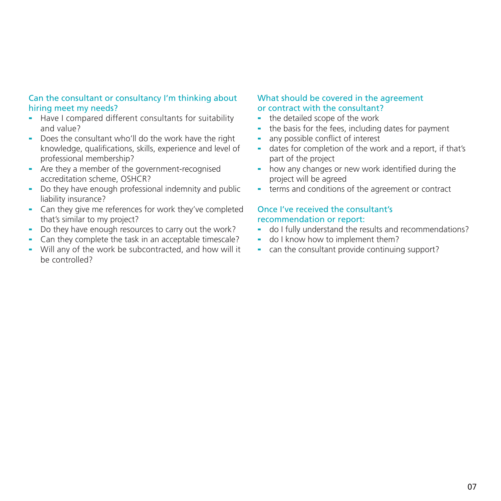#### Can the consultant or consultancy I'm thinking about hiring meet my needs?

- Have I compared different consultants for suitability and value?
- Does the consultant who'll do the work have the right knowledge, qualifications, skills, experience and level of professional membership?
- Are they a member of the government-recognised accreditation scheme, OSHCR?
- Do they have enough professional indemnity and public liability insurance?
- Can they give me references for work they've completed that's similar to my project?
- Do they have enough resources to carry out the work?
- Can they complete the task in an acceptable timescale?
- Will any of the work be subcontracted, and how will it be controlled?

#### What should be covered in the agreement or contract with the consultant?

- the detailed scope of the work
- the basis for the fees, including dates for payment
- any possible conflict of interest
- dates for completion of the work and a report, if that's part of the project
- how any changes or new work identified during the project will be agreed
- terms and conditions of the agreement or contract

### Once I've received the consultant's recommendation or report:

- do I fully understand the results and recommendations?
- do I know how to implement them?
- can the consultant provide continuing support?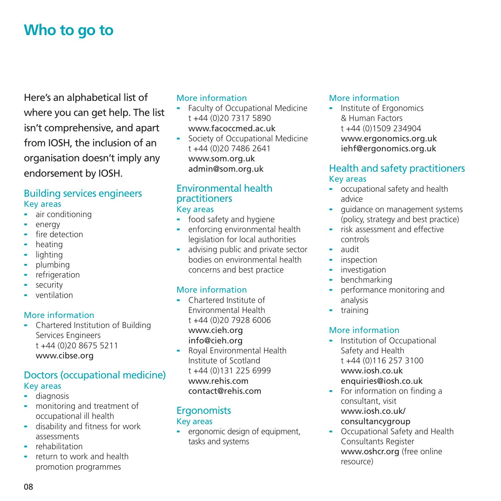# **Who to go to**

Here's an alphabetical list of where you can get help. The list isn't comprehensive, and apart from IOSH, the inclusion of an organisation doesn't imply any endorsement by IOSH.

# Building services engineers Key areas

- air conditioning
- energy
- fire detection
- heating
- lighting
- plumbing
- refrigeration
- security
- ventilation

# More information

- Chartered Institution of Building Services Engineers t +44 (0)20 8675 5211 [www.cibse.org](http://www.cibse.org)

# Doctors (occupational medicine) Key areas

- diagnosis
- monitoring and treatment of occupational ill health
- disability and fitness for work assessments
- rehabilitation
- return to work and health promotion programmes

# More information

- Faculty of Occupational Medicine t +44 (0)20 7317 5890 [www.facoccmed.ac.uk](http://www.facoccmed.ac.uk)
- Society of Occupational Medicine t +44 (0)20 7486 2641 [www.som.org.uk](http://www.som.org.uk) admin@som.org.uk

# Environmental health practitioners

# Key areas

- food safety and hygiene
- enforcing environmental health legislation for local authorities
- advising public and private sector bodies on environmental health concerns and best practice

# More information

- Chartered Institute of Environmental Health t +44 (0)20 7928 6006 [www.cieh.org](http://www.cieh.org) info@cieh.org
- Royal Environmental Health Institute of Scotland t +44 (0)131 225 6999 [www.rehis.com](http://www.rehis.com) contact@rehis.com

# **Ergonomists** Key areas

- ergonomic design of equipment. tasks and systems

# More information

- Institute of Ergonomics & Human Factors t +44 (0)1509 234904 [www.ergonomics.org.uk](http://www.ergonomics.org.uk) iehf@ergonomics.org.uk

# Health and safety practitioners Key areas

- occupational safety and health advice
- quidance on management systems (policy, strategy and best practice)
- risk assessment and effective controls
- audit
- inspection
- investigation
- benchmarking
- performance monitoring and analysis
- training

# More information

- Institution of Occupational Safety and Health t +44 (0)116 257 3100 [www.iosh.co.uk](http://www.iosh.co.uk) enquiries@iosh.co.uk
- For information on finding a consultant, visit [www.iosh.co.uk/](http://www.iosh.co.uk/consultancygroup) [consultancygroup](http://www.iosh.co.uk/consultancygroup)
- Occupational Safety and Health Consultants Register [www.oshcr.org](http://www.oshcr.org) (free online resource)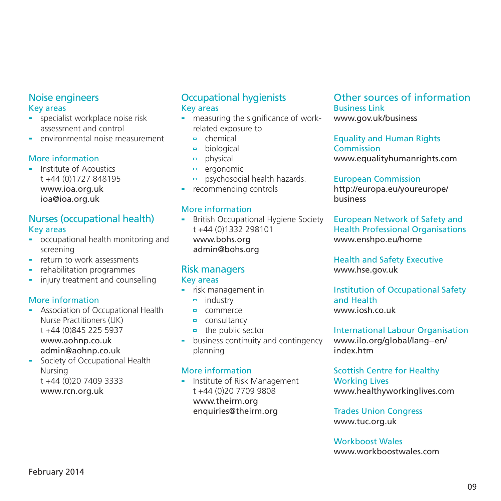# Noise engineers Key areas

- specialist workplace noise risk assessment and control
- environmental noise measurement

#### More information

- Institute of Acoustics t +44 (0)1727 848195 [www.ioa.org.uk](http://www.ioa.org.uk) ioa@ioa.org.uk

# Nurses (occupational health) Key areas

- occupational health monitoring and screening
- return to work assessments
- rehabilitation programmes
- injury treatment and counselling

### More information

- Association of Occupational Health Nurse Practitioners (UK) t +44 (0)845 225 5937 [www.aohnp.co.uk](http://www.aohnp.co.uk) admin@aohnp.co.uk
- Society of Occupational Health Nursing t +44 (0)20 7409 3333

[www.rcn.org.uk](http://www.rcn.org.uk)

# Occupational hygienists Key areas

- measuring the significance of workrelated exposure to
	- $e$  chemical
	- a. biological
	- physical  $\Box$
	- o. ergonomic
	- psychosocial health hazards.  $\Box$
- recommending controls

#### More information

British Occupational Hygiene Society t +44 (0)1332 298101 [www.bohs.org](http://www.bohs.org) admin@bohs.org

#### Risk managers Key areas

- risk management in
	- $=$  industry
	- commerce
	- <sup>o</sup> consultancy
	- $\overline{a}$  the public sector
- business continuity and contingency planning

### More information

- Institute of Risk Management t +44 (0)20 7709 9808 [www.theirm.org](http://www.theirm.org) enquiries@theirm.org

# Other sources of information Business Link

[www.gov.uk/business](https://www.gov.uk/business)

# Equality and Human Rights Commission

[www.equalityhumanrights.com](http://www.equalityhumanrights.com)

#### European Commission

[http://europa.eu/youreurope/](http://europa.eu/youreurope/business) [business](http://europa.eu/youreurope/business)

European Network of Safety and Health Professional Organisations [www.enshpo.eu/home](http://www.enshpo.eu/home)

Health and Safety Executive [www.hse.gov.uk](http://www.hse.gov.uk)

Institution of Occupational Safety and Health [www.iosh.co.uk](http://www.iosh.co.uk)

International Labour Organisation [www.ilo.org/global/lang--en/](http://www.ilo.org/global/lang--en/index.htm) [index.htm](http://www.ilo.org/global/lang--en/index.htm)

#### Scottish Centre for Healthy Working Lives [www.healthyworkinglives.com](http://www.healthyworkinglives.com)

Trades Union Congress [www.tuc.org.uk](http://www.tuc.org.uk)

# Workboost Wales

[www.workboostwales.com](http://www.workboostwales.com)